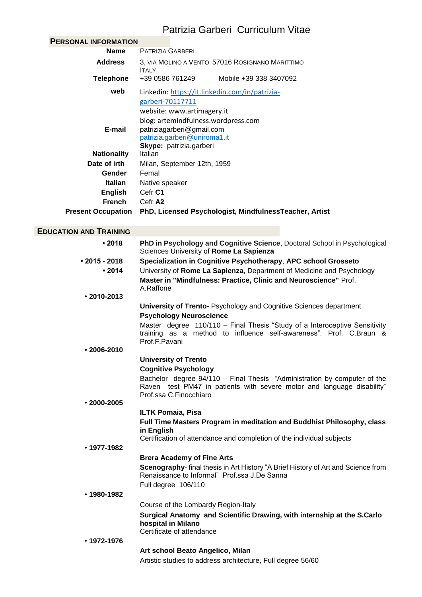# Patrizia Garberi Curriculum Vitae

| <b>PERSONAL INFORMATION</b>   |                                                                                          |  |
|-------------------------------|------------------------------------------------------------------------------------------|--|
| <b>Name</b>                   | PATRIZIA GARBERI                                                                         |  |
| <b>Address</b>                | 3, VIA MOLINO A VENTO 57016 ROSIGNANO MARITTIMO<br><b>ITALY</b>                          |  |
| <b>Telephone</b>              | +39 0586 761249<br>Mobile +39 338 3407092                                                |  |
| web                           | Linkedin: https://it.linkedin.com/in/patrizia-                                           |  |
|                               | garberi-70117711                                                                         |  |
|                               | website: www.artimagery.it                                                               |  |
|                               | blog: artemindfulness.wordpress.com                                                      |  |
| E-mail                        | patriziagarberi@gmail.com                                                                |  |
|                               | patrizia.garberi@uniroma1.it<br>Skype: patrizia.garberi                                  |  |
| <b>Nationality</b>            | Italian                                                                                  |  |
| Date of irth                  | Milan, September 12th, 1959                                                              |  |
| Gender                        | Femal                                                                                    |  |
| <b>Italian</b>                | Native speaker                                                                           |  |
| <b>English</b>                | Cefr C1                                                                                  |  |
| <b>French</b>                 | Cefr A2                                                                                  |  |
| <b>Present Occupation</b>     | PhD, Licensed Psychologist, MindfulnessTeacher, Artist                                   |  |
|                               |                                                                                          |  |
| <b>EDUCATION AND TRAINING</b> |                                                                                          |  |
| •2018                         | PhD in Psychology and Cognitive Science, Doctoral School in Psychological                |  |
|                               | Sciences University of Rome La Sapienza                                                  |  |
| $\cdot$ 2015 - 2018           | Specialization in Cognitive Psychotherapy, APC school Grosseto                           |  |
| •2014                         | University of Rome La Sapienza, Department of Medicine and Psychology                    |  |
|                               | Master in "Mindfulness: Practice, Clinic and Neuroscience" Prof.                         |  |
| $\cdot$ 2010-2013             | A.Raffone                                                                                |  |
|                               | University of Trento- Psychology and Cognitive Sciences department                       |  |
|                               | <b>Psychology Neuroscience</b>                                                           |  |
|                               | Master degree 110/110 - Final Thesis "Study of a Interoceptive Sensitivity               |  |
|                               | training as a method to influence self-awareness". Prof. C.Braun &                       |  |
|                               | Prof.F.Pavani                                                                            |  |
| $\cdot$ 2006-2010             |                                                                                          |  |
|                               | <b>University of Trento</b>                                                              |  |
|                               | <b>Cognitive Psychology</b>                                                              |  |
|                               | Bachelor degree 94/110 - Final Thesis "Administration by computer of the                 |  |
|                               | Raven test PM47 in patients with severe motor and language disability"                   |  |
| $\cdot$ 2000-2005             | Prof.ssa C.Finocchiaro                                                                   |  |
|                               | <b>ILTK Pomaia, Pisa</b>                                                                 |  |
|                               | Full Time Masters Program in meditation and Buddhist Philosophy, class                   |  |
|                               | in English                                                                               |  |
|                               | Certification of attendance and completion of the individual subjects                    |  |
| $\cdot$ 1977-1982             |                                                                                          |  |
|                               | <b>Brera Academy of Fine Arts</b>                                                        |  |
|                               | <b>Scenography-</b> final thesis in Art History "A Brief History of Art and Science from |  |
|                               | Renaissance to Informal" Prof.ssa J.De Sanna                                             |  |
|                               | Full degree 106/110                                                                      |  |
| $\cdot$ 1980-1982             |                                                                                          |  |
|                               | Course of the Lombardy Region-Italy                                                      |  |
|                               | Surgical Anatomy and Scientific Drawing, with internship at the S.Carlo                  |  |
|                               | hospital in Milano                                                                       |  |
|                               | Certificate of attendance                                                                |  |
| $\cdot$ 1972-1976             |                                                                                          |  |
|                               | Art school Beato Angelico, Milan                                                         |  |
|                               | Artistic studies to address architecture, Full degree 56/60                              |  |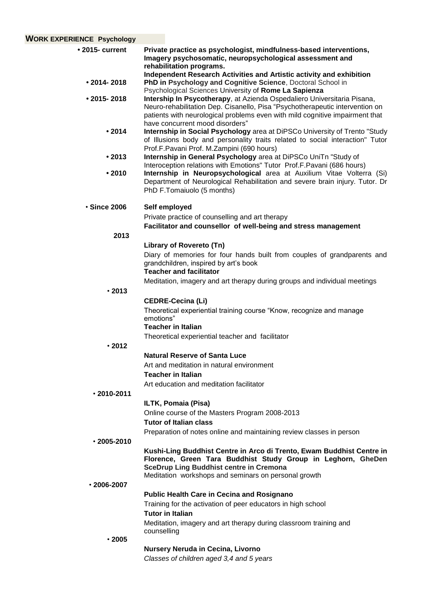| <b>WORK EXPERIENCE Psychology</b> |                                                                                                                                                                                                                                                                                                                                     |
|-----------------------------------|-------------------------------------------------------------------------------------------------------------------------------------------------------------------------------------------------------------------------------------------------------------------------------------------------------------------------------------|
| $\cdot$ 2015- current             | Private practice as psychologist, mindfulness-based interventions,<br>Imagery psychosomatic, neuropsychological assessment and<br>rehabilitation programs.                                                                                                                                                                          |
| $• 2014 - 2018$                   | Independent Research Activities and Artistic activity and exhibition<br>PhD in Psychology and Cognitive Science, Doctoral School in                                                                                                                                                                                                 |
| $\cdot$ 2015-2018                 | Psychological Sciences University of Rome La Sapienza<br>Intership In Psycotherapy, at Azienda Ospedaliero Universitaria Pisana,<br>Neuro-rehabilitation Dep. Cisanello, Pisa "Psychotherapeutic intervention on<br>patients with neurological problems even with mild cognitive impairment that<br>have concurrent mood disorders" |
| •2014                             | Internship in Social Psychology area at DiPSCo University of Trento "Study<br>of Illusions body and personality traits related to social interaction" Tutor<br>Prof.F.Pavani Prof. M.Zampini (690 hours)                                                                                                                            |
| •2013                             | Internship in General Psychology area at DiPSCo UniTn "Study of<br>Interoception relations with Emotions" Tutor Prof.F.Pavani (686 hours)                                                                                                                                                                                           |
| •2010                             | Internship in Neuropsychological area at Auxilium Vitae Volterra (Si)<br>Department of Neurological Rehabilitation and severe brain injury. Tutor. Dr<br>PhD F.Tomaiuolo (5 months)                                                                                                                                                 |
| <b>Since 2006</b>                 | Self employed                                                                                                                                                                                                                                                                                                                       |
|                                   | Private practice of counselling and art therapy                                                                                                                                                                                                                                                                                     |
| 2013                              | Facilitator and counsellor of well-being and stress management                                                                                                                                                                                                                                                                      |
|                                   | Library of Rovereto (Tn)                                                                                                                                                                                                                                                                                                            |
|                                   | Diary of memories for four hands built from couples of grandparents and<br>grandchildren, inspired by art's book<br><b>Teacher and facilitator</b>                                                                                                                                                                                  |
| .2013                             | Meditation, imagery and art therapy during groups and individual meetings                                                                                                                                                                                                                                                           |
|                                   | <b>CEDRE-Cecina (Li)</b>                                                                                                                                                                                                                                                                                                            |
|                                   | Theoretical experiential training course "Know, recognize and manage<br>emotions"<br><b>Teacher in Italian</b>                                                                                                                                                                                                                      |
|                                   | Theoretical experiential teacher and facilitator                                                                                                                                                                                                                                                                                    |
| .2012                             |                                                                                                                                                                                                                                                                                                                                     |
|                                   | <b>Natural Reserve of Santa Luce</b>                                                                                                                                                                                                                                                                                                |
|                                   | Art and meditation in natural environment                                                                                                                                                                                                                                                                                           |
|                                   | <b>Teacher in Italian</b><br>Art education and meditation facilitator                                                                                                                                                                                                                                                               |
| $\cdot$ 2010-2011                 |                                                                                                                                                                                                                                                                                                                                     |
|                                   | ILTK, Pomaia (Pisa)                                                                                                                                                                                                                                                                                                                 |
|                                   | Online course of the Masters Program 2008-2013<br><b>Tutor of Italian class</b>                                                                                                                                                                                                                                                     |
|                                   | Preparation of notes online and maintaining review classes in person                                                                                                                                                                                                                                                                |
| $\cdot$ 2005-2010                 |                                                                                                                                                                                                                                                                                                                                     |
|                                   | Kushi-Ling Buddhist Centre in Arco di Trento, Ewam Buddhist Centre in<br>Florence, Green Tara Buddhist Study Group in Leghorn, GheDen<br><b>SceDrup Ling Buddhist centre in Cremona</b><br>Meditation workshops and seminars on personal growth                                                                                     |
| $\cdot$ 2006-2007                 |                                                                                                                                                                                                                                                                                                                                     |
|                                   | <b>Public Health Care in Cecina and Rosignano</b>                                                                                                                                                                                                                                                                                   |
|                                   | Training for the activation of peer educators in high school                                                                                                                                                                                                                                                                        |
|                                   | <b>Tutor in Italian</b><br>Meditation, imagery and art therapy during classroom training and                                                                                                                                                                                                                                        |
|                                   | counselling                                                                                                                                                                                                                                                                                                                         |
| $\cdot$ 2005                      |                                                                                                                                                                                                                                                                                                                                     |
|                                   | <b>Nursery Neruda in Cecina, Livorno</b><br>Classes of children aged 3,4 and 5 years                                                                                                                                                                                                                                                |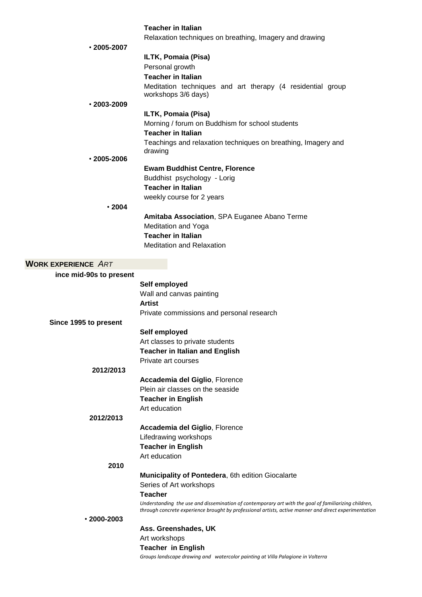|                            | <b>Teacher in Italian</b>                                                                             |
|----------------------------|-------------------------------------------------------------------------------------------------------|
|                            | Relaxation techniques on breathing, Imagery and drawing                                               |
| $\cdot$ 2005-2007          |                                                                                                       |
|                            | ILTK, Pomaia (Pisa)                                                                                   |
|                            | Personal growth                                                                                       |
|                            | <b>Teacher in Italian</b>                                                                             |
|                            | Meditation techniques and art therapy (4 residential group                                            |
|                            | workshops 3/6 days)                                                                                   |
| $\cdot$ 2003-2009          |                                                                                                       |
|                            | ILTK, Pomaia (Pisa)                                                                                   |
|                            | Morning / forum on Buddhism for school students                                                       |
|                            | <b>Teacher in Italian</b>                                                                             |
|                            | Teachings and relaxation techniques on breathing, Imagery and                                         |
| $\cdot$ 2005-2006          | drawing                                                                                               |
|                            | <b>Ewam Buddhist Centre, Florence</b>                                                                 |
|                            | Buddhist psychology - Lorig                                                                           |
|                            | <b>Teacher in Italian</b>                                                                             |
|                            | weekly course for 2 years                                                                             |
| .2004                      |                                                                                                       |
|                            | Amitaba Association, SPA Euganee Abano Terme                                                          |
|                            | <b>Meditation and Yoga</b>                                                                            |
|                            | <b>Teacher in Italian</b>                                                                             |
|                            | <b>Meditation and Relaxation</b>                                                                      |
|                            |                                                                                                       |
| <b>WORK EXPERIENCE ART</b> |                                                                                                       |
| ince mid-90s to present    |                                                                                                       |
|                            | Self employed                                                                                         |
|                            | Wall and canvas painting                                                                              |
|                            | <b>Artist</b>                                                                                         |
|                            | Private commissions and personal research                                                             |
| Since 1995 to present      |                                                                                                       |
|                            | Self employed                                                                                         |
|                            | Art classes to private students                                                                       |
|                            | <b>Teacher in Italian and English</b>                                                                 |
|                            | Private art courses                                                                                   |
| 2012/2013                  |                                                                                                       |
|                            | Accademia del Giglio, Florence                                                                        |
|                            | Plein air classes on the seaside                                                                      |
|                            | <b>Teacher in English</b>                                                                             |
|                            | Art education                                                                                         |
| 2012/2013                  |                                                                                                       |
|                            | Accademia del Giglio, Florence                                                                        |
|                            | Lifedrawing workshops                                                                                 |
|                            | <b>Teacher in English</b>                                                                             |
|                            | Art education                                                                                         |
| 2010                       |                                                                                                       |
|                            | Municipality of Pontedera, 6th edition Giocalarte                                                     |
|                            | Series of Art workshops                                                                               |
|                            | <b>Teacher</b>                                                                                        |
|                            | Understanding the use and dissemination of contemporary art with the goal of familiarizing children,  |
| $\cdot$ 2000-2003          | through concrete experience brought by professional artists, active manner and direct experimentation |
|                            | Ass. Greenshades, UK                                                                                  |
|                            | Art workshops                                                                                         |
|                            | <b>Teacher in English</b>                                                                             |
|                            | Groups landscape drawing and watercolor painting at Villa Palagione in Volterra                       |
|                            |                                                                                                       |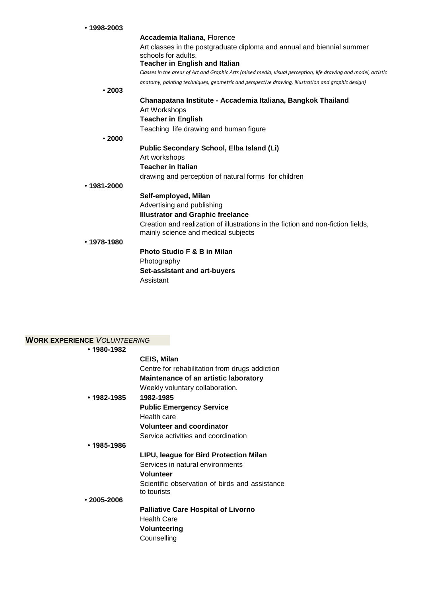| $\cdot$ 1998-2003 |                                                                                                                |
|-------------------|----------------------------------------------------------------------------------------------------------------|
|                   | Accademia Italiana, Florence                                                                                   |
|                   | Art classes in the postgraduate diploma and annual and biennial summer<br>schools for adults.                  |
|                   | <b>Teacher in English and Italian</b>                                                                          |
|                   | Classes in the areas of Art and Graphic Arts (mixed media, visual perception, life drawing and model, artistic |
|                   | anatomy, painting techniques, geometric and perspective drawing, illustration and graphic design)              |
| $\cdot$ 2003      |                                                                                                                |
|                   | Chanapatana Institute - Accademia Italiana, Bangkok Thailand                                                   |
|                   | Art Workshops                                                                                                  |
|                   | <b>Teacher in English</b>                                                                                      |
|                   | Teaching life drawing and human figure                                                                         |
| .2000             |                                                                                                                |
|                   | Public Secondary School, Elba Island (Li)                                                                      |
|                   | Art workshops                                                                                                  |
|                   | <b>Teacher in Italian</b>                                                                                      |
|                   | drawing and perception of natural forms for children                                                           |
| $.1981 - 2000$    |                                                                                                                |
|                   | Self-employed, Milan                                                                                           |
|                   | Advertising and publishing                                                                                     |
|                   | <b>Illustrator and Graphic freelance</b>                                                                       |
|                   | Creation and realization of illustrations in the fiction and non-fiction fields,                               |
|                   | mainly science and medical subjects                                                                            |
| $.1978 - 1980$    |                                                                                                                |
|                   | <b>Photo Studio F &amp; B in Milan</b>                                                                         |
|                   | Photography                                                                                                    |
|                   | Set-assistant and art-buyers                                                                                   |
|                   | Assistant                                                                                                      |
|                   |                                                                                                                |

| WORK EXPERIENCE VOLUNTEERING |                                                |
|------------------------------|------------------------------------------------|
| $•1980-1982$                 |                                                |
|                              | <b>CEIS, Milan</b>                             |
|                              | Centre for rehabilitation from drugs addiction |
|                              | <b>Maintenance of an artistic laboratory</b>   |
|                              | Weekly voluntary collaboration.                |
| • 1982-1985                  | 1982-1985                                      |
|                              | <b>Public Emergency Service</b>                |
|                              | Health care                                    |
|                              | <b>Volunteer and coordinator</b>               |
|                              | Service activities and coordination            |
| $•1985-1986$                 |                                                |
|                              | LIPU, league for Bird Protection Milan         |
|                              | Services in natural environments               |
|                              | <b>Volunteer</b>                               |
|                              | Scientific observation of birds and assistance |
|                              | to tourists                                    |
| $\cdot$ 2005-2006            |                                                |
|                              | <b>Palliative Care Hospital of Livorno</b>     |
|                              | <b>Health Care</b>                             |
|                              | <b>Volunteering</b>                            |
|                              | Counselling                                    |
|                              |                                                |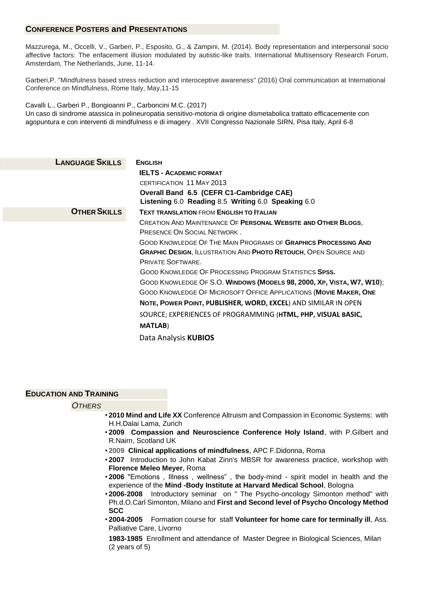# **CONFERENCE POSTERS and PRESENTATIONS**

Mazzurega, M., Occelli, V., Garberi, P., Esposito, G., & Zampini, M. (2014). Body representation and interpersonal socio affective factors: The enfacement illusion modulated by autistic-like traits. International Multisensory Research Forum, Amsterdam, The Netherlands, June, 11-14.

Garberi,P. "Mindfulness based stress reduction and interoceptive awareness" (2016) Oral communication at International Conference on Mindfulness, Rome Italy, May,11-15

Cavalli L., Garberi P., Bongioanni P., Carboncini M.C. (2017) Un caso di sindrome atassica in polineuropatia sensitivo-motoria di origine dismetabolica trattato efficacemente con agopuntura e con interventi di mindfulness e di imagery . XVII Congresso Nazionale SIRN, Pisa Italy, April 6-8

| <b>LANGUAGE SKILLS</b> | <b>ENGLISH</b>                                                         |
|------------------------|------------------------------------------------------------------------|
|                        | <b>IELTS - ACADEMIC FORMAT</b>                                         |
|                        | <b>CERTIFICATION 11 MAY 2013</b>                                       |
|                        | Overall Band 6.5 (CEFR C1-Cambridge CAE)                               |
|                        | Listening 6.0 Reading 8.5 Writing 6.0 Speaking 6.0                     |
| <b>OTHER SKILLS</b>    | <b>TEXT TRANSLATION FROM ENGLISH TO ITALIAN</b>                        |
|                        | CREATION AND MAINTENANCE OF PERSONAL WEBSITE AND OTHER BLOGS,          |
|                        | PRESENCE ON SOCIAL NETWORK.                                            |
|                        | <b>GOOD KNOWLEDGE OF THE MAIN PROGRAMS OF GRAPHICS PROCESSING AND</b>  |
|                        | <b>GRAPHIC DESIGN, ILLUSTRATION AND PHOTO RETOUCH, OPEN SOURCE AND</b> |
|                        | PRIVATE SOFTWARE.                                                      |
|                        | <b>GOOD KNOWLEDGE OF PROCESSING PROGRAM STATISTICS SPSS.</b>           |
|                        | GOOD KNOWLEDGE OF S.O. WINDOWS (MODELS 98, 2000, XP, VISTA, W7, W10);  |
|                        | GOOD KNOWLEDGE OF MICROSOFT OFFICE APPLICATIONS (MOVIE MAKER, ONE      |
|                        | NOTE, POWER POINT, PUBLISHER, WORD, EXCEL) AND SIMILAR IN OPEN         |
|                        | SOURCE; EXPERIENCES OF PROGRAMMING (HTML, PHP, VISUAL BASIC,           |
|                        | <b>MATLAB</b> )                                                        |
|                        | Data Analysis KUBIOS                                                   |

## **EDUCATION AND TRAINING**

## *OTHERS*

- **2010 Mind and Life XX** Conference Altruism and Compassion in Economic Systems: with H.H.Dalai Lama, Zurich
- **2009 Compassion and Neuroscience Conference Holy Island**, with P.Gilbert and R.Nairn, Scotland UK
- **2009 Clinical applications of mindfulness**, APC F.Didonna, Roma
- **2007** Introduction to John Kabat Zinn's MBSR for awareness practice, workshop with **Florence Meleo Meyer**, Roma
- **2006** "Emotions , Illness , wellness" , the body-mind spirit model in health and the experience of the **Mind -Body Institute at Harvard Medical School**, Bologna
- **2006-2008** Introductory seminar on " The Psycho-oncology Simonton method" with Ph.d.O.Carl Simonton, Milano and **First and Second level of Psycho Oncology Method SCC**
- **2004-2005** Formation course for staff **Volunteer for home care for terminally ill**, Ass. Palliative Care, Livorno

**1983-1985** Enrollment and attendance of Master Degree in Biological Sciences, Milan (2 years of 5)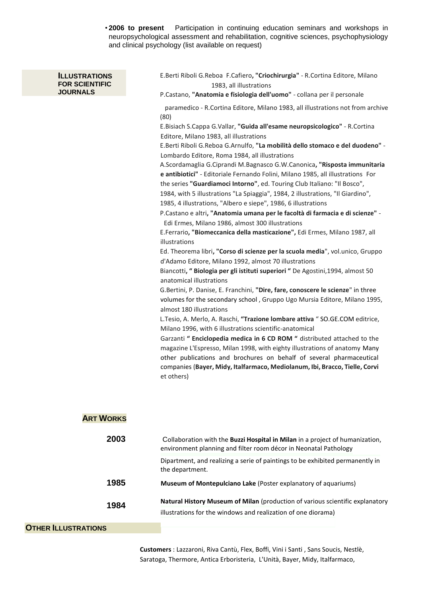• **2006 to present** Participation in continuing education seminars and workshops in neuropsychological assessment and rehabilitation, cognitive sciences, psychophysiology and clinical psychology (list available on request)

#### **ILLUSTRATIONS FOR SCIENTIFIC JOURNALS**

E.Berti Riboli G.Reboa F.Cafiero**, "Criochirurgia"** - R.Cortina Editore, Milano 1983, all illustrations

P.Castano, **"Anatomia e fisiologia dell'uomo"** - collana per il personale

paramedico - R.Cortina Editore, Milano 1983, all illustrations not from archive (80)

E.Bisiach S.Cappa G.Vallar, **"Guida all'esame neuropsicologico"** - R.Cortina Editore, Milano 1983, all illustrations

E.Berti Riboli G.Reboa G.Arnulfo, **"La mobilità dello stomaco e del duodeno"** - Lombardo Editore, Roma 1984, all illustrations

A.Scordamaglia G.Ciprandi M.Bagnasco G.W.Canonica**, "Risposta immunitaria e antibiotici"** - Editoriale Fernando Folini, Milano 1985, all illustrations For

the series **"Guardiamoci Intorno"**, ed. Touring Club Italiano: "Il Bosco",

1984, with 5 illustrations "La Spiaggia", 1984, 2 illustrations, "Il Giardino",

1985, 4 illustrations, "Albero e siepe", 1986, 6 illustrations

P.Castano e altri**, "Anatomia umana per le facoltà di farmacia e di scienze"** - Edi Ermes, Milano 1986, almost 300 illustrations

E.Ferrario**, "Biomeccanica della masticazione",** Edi Ermes, Milano 1987, all illustrations

Ed. Theorema libri**, "Corso di scienze per la scuola media**", vol.unico, Gruppo d'Adamo Editore, Milano 1992, almost 70 illustrations

Biancotti**, " Biologia per gli istituti superiori "** De Agostini,1994, almost 50 anatomical illustrations

G.Bertini, P. Danise, E. Franchini, **"Dire, fare, conoscere le scienze**" in three volumes for the secondary school , Gruppo Ugo Mursia Editore, Milano 1995, almost 180 illustrations

L.Tesio, A. Merlo, A. Raschi, **"Trazione lombare attiva** " SO.GE.COM editrice, Milano 1996, with 6 illustrations scientific-anatomical

Garzanti **" Enciclopedia medica in 6 CD ROM "** distributed attached to the magazine L'Espresso, Milan 1998, with eighty illustrations of anatomy Many other publications and brochures on behalf of several pharmaceutical companies (**Bayer, Midy, Italfarmaco, Mediolanum, Ibi, Bracco, Tielle, Corvi**  et others)

# **ART WORKS**

| 2003                       | Collaboration with the Buzzi Hospital in Milan in a project of humanization,<br>environment planning and filter room décor in Neonatal Pathology |  |
|----------------------------|--------------------------------------------------------------------------------------------------------------------------------------------------|--|
|                            | Dipartment, and realizing a serie of paintings to be exhibited permanently in<br>the department.                                                 |  |
| 1985                       | Museum of Montepulciano Lake (Poster explanatory of aquariums)                                                                                   |  |
| 1984                       | Natural History Museum of Milan (production of various scientific explanatory                                                                    |  |
|                            | illustrations for the windows and realization of one diorama)                                                                                    |  |
| <b>OTHER ILLUSTRATIONS</b> |                                                                                                                                                  |  |

**Customers** : Lazzaroni, Riva Cantù, Flex, Boffi, Vini i Santi , Sans Soucis, Nestlè, Saratoga, Thermore, Antica Erboristeria, L'Unità, Bayer, Midy, Italfarmaco,